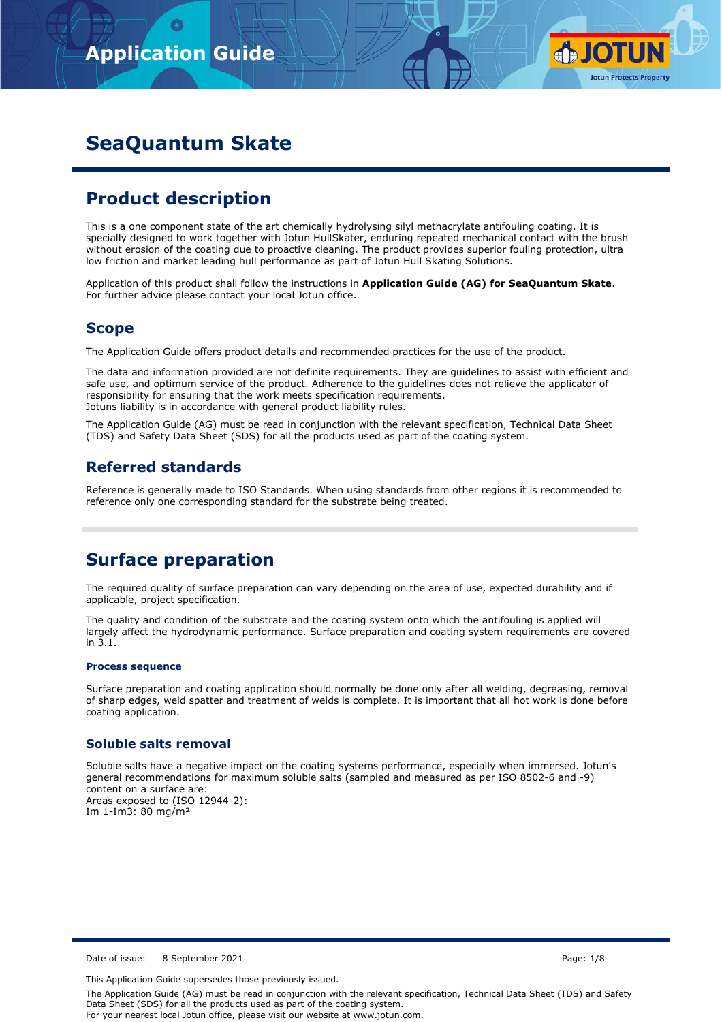

# **SeaQuantum Skate**

## **Product description**

This is a one component state of the art chemically hydrolysing silyl methacrylate antifouling coating. It is specially designed to work together with Jotun HullSkater, enduring repeated mechanical contact with the brush without erosion of the coating due to proactive cleaning. The product provides superior fouling protection, ultra low friction and market leading hull performance as part of Jotun Hull Skating Solutions.

Application of this product shall follow the instructions in **Application Guide (AG) for SeaQuantum Skate**. For further advice please contact your local Jotun office.

## **Scope**

The Application Guide offers product details and recommended practices for the use of the product.

The data and information provided are not definite requirements. They are guidelines to assist with efficient and safe use, and optimum service of the product. Adherence to the guidelines does not relieve the applicator of responsibility for ensuring that the work meets specification requirements. Jotuns liability is in accordance with general product liability rules.

The Application Guide (AG) must be read in conjunction with the relevant specification, Technical Data Sheet (TDS) and Safety Data Sheet (SDS) for all the products used as part of the coating system.

## **Referred standards**

Reference is generally made to ISO Standards. When using standards from other regions it is recommended to reference only one corresponding standard for the substrate being treated.

## **Surface preparation**

The required quality of surface preparation can vary depending on the area of use, expected durability and if applicable, project specification.

The quality and condition of the substrate and the coating system onto which the antifouling is applied will largely affect the hydrodynamic performance. Surface preparation and coating system requirements are covered in 3.1.

### **Process sequence**

Surface preparation and coating application should normally be done only after all welding, degreasing, removal of sharp edges, weld spatter and treatment of welds is complete. It is important that all hot work is done before coating application.

## **Soluble salts removal**

Soluble salts have a negative impact on the coating systems performance, especially when immersed. Jotun's general recommendations for maximum soluble salts (sampled and measured as per ISO 8502-6 and -9) content on a surface are: Areas exposed to (ISO 12944-2): Im 1-Im3: 80 mg/m²

Date of issue: 8 September 2021 **Page: 1/8** Page: 1/8

This Application Guide supersedes those previously issued.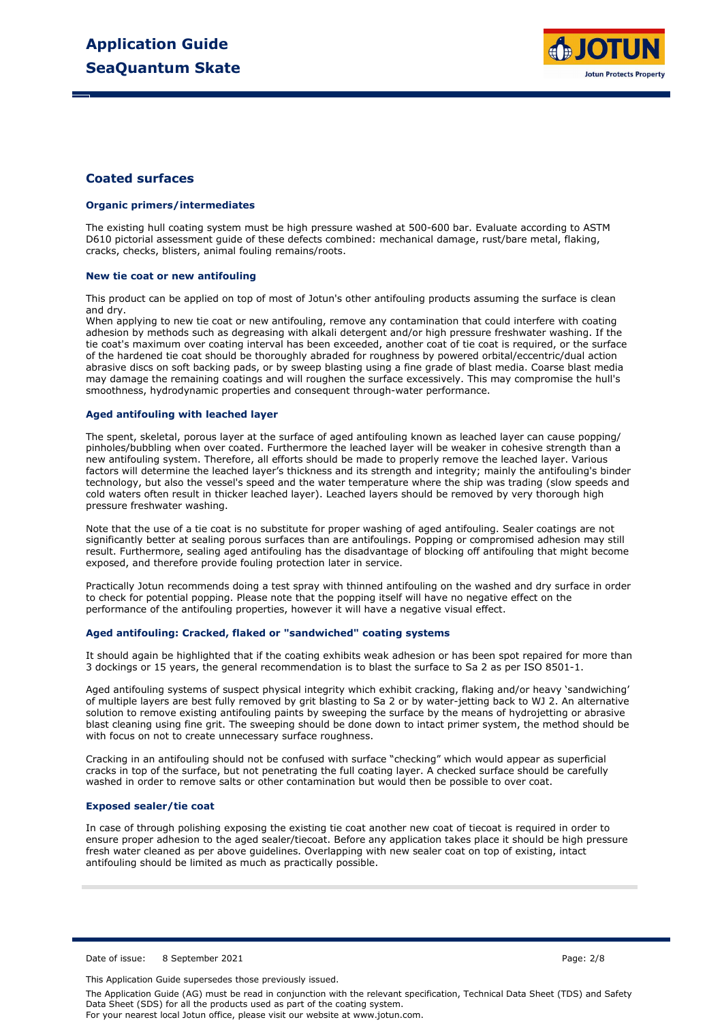

### **Coated surfaces**

#### **Organic primers/intermediates**

The existing hull coating system must be high pressure washed at 500-600 bar. Evaluate according to ASTM D610 pictorial assessment guide of these defects combined: mechanical damage, rust/bare metal, flaking, cracks, checks, blisters, animal fouling remains/roots.

#### **New tie coat or new antifouling**

This product can be applied on top of most of Jotun's other antifouling products assuming the surface is clean and dry.

When applying to new tie coat or new antifouling, remove any contamination that could interfere with coating adhesion by methods such as degreasing with alkali detergent and/or high pressure freshwater washing. If the tie coat's maximum over coating interval has been exceeded, another coat of tie coat is required, or the surface of the hardened tie coat should be thoroughly abraded for roughness by powered orbital/eccentric/dual action abrasive discs on soft backing pads, or by sweep blasting using a fine grade of blast media. Coarse blast media may damage the remaining coatings and will roughen the surface excessively. This may compromise the hull's smoothness, hydrodynamic properties and consequent through-water performance.

#### **Aged antifouling with leached layer**

The spent, skeletal, porous layer at the surface of aged antifouling known as leached layer can cause popping/ pinholes/bubbling when over coated. Furthermore the leached layer will be weaker in cohesive strength than a new antifouling system. Therefore, all efforts should be made to properly remove the leached layer. Various factors will determine the leached layer's thickness and its strength and integrity; mainly the antifouling's binder technology, but also the vessel's speed and the water temperature where the ship was trading (slow speeds and cold waters often result in thicker leached layer). Leached layers should be removed by very thorough high pressure freshwater washing.

Note that the use of a tie coat is no substitute for proper washing of aged antifouling. Sealer coatings are not significantly better at sealing porous surfaces than are antifoulings. Popping or compromised adhesion may still result. Furthermore, sealing aged antifouling has the disadvantage of blocking off antifouling that might become exposed, and therefore provide fouling protection later in service.

Practically Jotun recommends doing a test spray with thinned antifouling on the washed and dry surface in order to check for potential popping. Please note that the popping itself will have no negative effect on the performance of the antifouling properties, however it will have a negative visual effect.

#### **Aged antifouling: Cracked, flaked or "sandwiched" coating systems**

It should again be highlighted that if the coating exhibits weak adhesion or has been spot repaired for more than 3 dockings or 15 years, the general recommendation is to blast the surface to Sa 2 as per ISO 8501-1.

Aged antifouling systems of suspect physical integrity which exhibit cracking, flaking and/or heavy 'sandwiching' of multiple layers are best fully removed by grit blasting to Sa 2 or by water-jetting back to WJ 2. An alternative solution to remove existing antifouling paints by sweeping the surface by the means of hydrojetting or abrasive blast cleaning using fine grit. The sweeping should be done down to intact primer system, the method should be with focus on not to create unnecessary surface roughness.

Cracking in an antifouling should not be confused with surface "checking" which would appear as superficial cracks in top of the surface, but not penetrating the full coating layer. A checked surface should be carefully washed in order to remove salts or other contamination but would then be possible to over coat.

#### **Exposed sealer/tie coat**

In case of through polishing exposing the existing tie coat another new coat of tiecoat is required in order to ensure proper adhesion to the aged sealer/tiecoat. Before any application takes place it should be high pressure fresh water cleaned as per above guidelines. Overlapping with new sealer coat on top of existing, intact antifouling should be limited as much as practically possible.

Date of issue: 8 September 2021 **Page: 2018** Page: 2/8

This Application Guide supersedes those previously issued.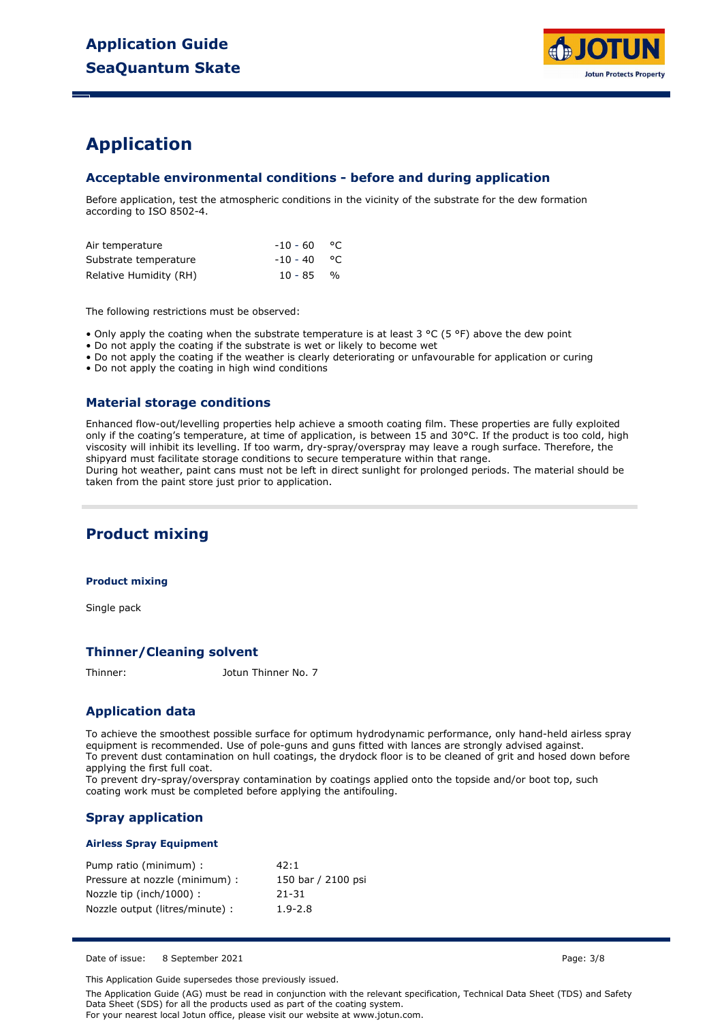

## **Application**

## **Acceptable environmental conditions - before and during application**

Before application, test the atmospheric conditions in the vicinity of the substrate for the dew formation according to ISO 8502-4.

| Air temperature        | -10 - 60      | ം |
|------------------------|---------------|---|
| Substrate temperature  | $-10 - 40$ °C |   |
| Relative Humidity (RH) | $10 - 85$ %   |   |

The following restrictions must be observed:

• Only apply the coating when the substrate temperature is at least 3 °C (5 °F) above the dew point

• Do not apply the coating if the substrate is wet or likely to become wet

• Do not apply the coating if the weather is clearly deteriorating or unfavourable for application or curing

• Do not apply the coating in high wind conditions

### **Material storage conditions**

Enhanced flow-out/levelling properties help achieve a smooth coating film. These properties are fully exploited only if the coating's temperature, at time of application, is between 15 and 30°C. If the product is too cold, high viscosity will inhibit its levelling. If too warm, dry-spray/overspray may leave a rough surface. Therefore, the shipyard must facilitate storage conditions to secure temperature within that range. During hot weather, paint cans must not be left in direct sunlight for prolonged periods. The material should be

taken from the paint store just prior to application.

## **Product mixing**

#### **Product mixing**

Single pack

### **Thinner/Cleaning solvent**

Thinner: Jotun Thinner No. 7

## **Application data**

To achieve the smoothest possible surface for optimum hydrodynamic performance, only hand-held airless spray equipment is recommended. Use of pole-guns and guns fitted with lances are strongly advised against. To prevent dust contamination on hull coatings, the drydock floor is to be cleaned of grit and hosed down before applying the first full coat.

To prevent dry-spray/overspray contamination by coatings applied onto the topside and/or boot top, such coating work must be completed before applying the antifouling.

## **Spray application**

#### **Airless Spray Equipment**

| Pump ratio (minimum) :          | 42:1               |
|---------------------------------|--------------------|
| Pressure at nozzle (minimum) :  | 150 bar / 2100 psi |
| Nozzle tip (inch/1000) :        | 21-31              |
| Nozzle output (litres/minute) : | $1.9 - 2.8$        |

Date of issue: 8 September 2021 **Page: 3/8** Page: 3/8

This Application Guide supersedes those previously issued.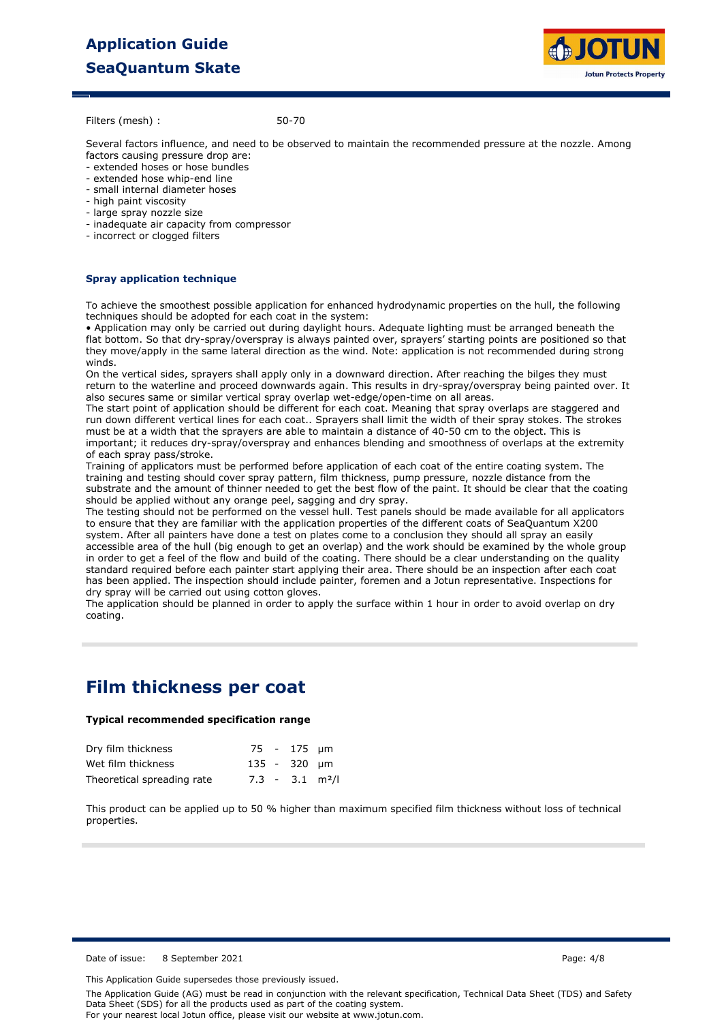# **Application Guide SeaQuantum Skate**



Filters (mesh) :

50-70

Several factors influence, and need to be observed to maintain the recommended pressure at the nozzle. Among factors causing pressure drop are:

- extended hoses or hose bundles
- extended hose whip-end line
- small internal diameter hoses
- high paint viscosity
- large spray nozzle size
- inadequate air capacity from compressor
- incorrect or clogged filters

### **Spray application technique**

To achieve the smoothest possible application for enhanced hydrodynamic properties on the hull, the following techniques should be adopted for each coat in the system:

• Application may only be carried out during daylight hours. Adequate lighting must be arranged beneath the flat bottom. So that dry-spray/overspray is always painted over, sprayers' starting points are positioned so that they move/apply in the same lateral direction as the wind. Note: application is not recommended during strong winds.

On the vertical sides, sprayers shall apply only in a downward direction. After reaching the bilges they must return to the waterline and proceed downwards again. This results in dry-spray/overspray being painted over. It also secures same or similar vertical spray overlap wet-edge/open-time on all areas.

The start point of application should be different for each coat. Meaning that spray overlaps are staggered and run down different vertical lines for each coat.. Sprayers shall limit the width of their spray stokes. The strokes must be at a width that the sprayers are able to maintain a distance of 40-50 cm to the object. This is important; it reduces dry-spray/overspray and enhances blending and smoothness of overlaps at the extremity of each spray pass/stroke.

Training of applicators must be performed before application of each coat of the entire coating system. The training and testing should cover spray pattern, film thickness, pump pressure, nozzle distance from the substrate and the amount of thinner needed to get the best flow of the paint. It should be clear that the coating should be applied without any orange peel, sagging and dry spray.

The testing should not be performed on the vessel hull. Test panels should be made available for all applicators to ensure that they are familiar with the application properties of the different coats of SeaQuantum X200 system. After all painters have done a test on plates come to a conclusion they should all spray an easily accessible area of the hull (big enough to get an overlap) and the work should be examined by the whole group in order to get a feel of the flow and build of the coating. There should be a clear understanding on the quality standard required before each painter start applying their area. There should be an inspection after each coat has been applied. The inspection should include painter, foremen and a Jotun representative. Inspections for dry spray will be carried out using cotton gloves.

The application should be planned in order to apply the surface within 1 hour in order to avoid overlap on dry coating.

## **Film thickness per coat**

#### **Typical recommended specification range**

| Dry film thickness         |  | 75 - 175 um                   |  |
|----------------------------|--|-------------------------------|--|
| Wet film thickness         |  | 135 - 320 µm                  |  |
| Theoretical spreading rate |  | $7.3 - 3.1$ m <sup>2</sup> /l |  |

This product can be applied up to 50 % higher than maximum specified film thickness without loss of technical properties.

Date of issue: 8 September 2021 **Page: 4/8** Page: 4/8

This Application Guide supersedes those previously issued.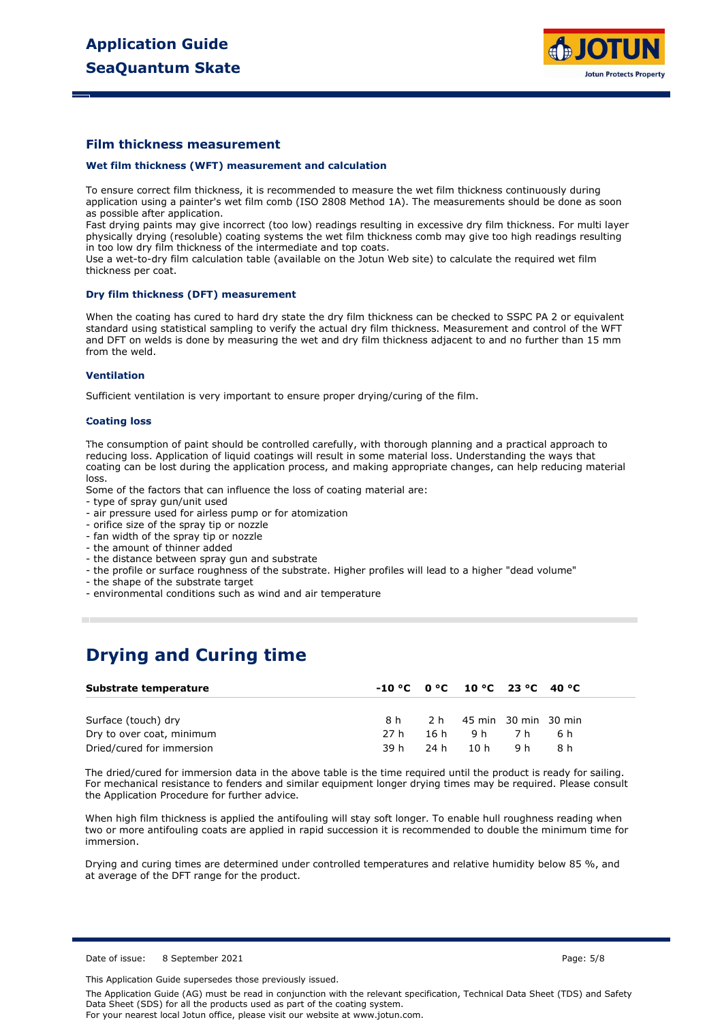

### **Film thickness measurement**

#### **Wet film thickness (WFT) measurement and calculation**

To ensure correct film thickness, it is recommended to measure the wet film thickness continuously during application using a painter's wet film comb (ISO 2808 Method 1A). The measurements should be done as soon as possible after application.

Fast drying paints may give incorrect (too low) readings resulting in excessive dry film thickness. For multi layer physically drying (resoluble) coating systems the wet film thickness comb may give too high readings resulting in too low dry film thickness of the intermediate and top coats.

Use a wet-to-dry film calculation table (available on the Jotun Web site) to calculate the required wet film thickness per coat.

#### **Dry film thickness (DFT) measurement**

When the coating has cured to hard dry state the dry film thickness can be checked to SSPC PA 2 or equivalent standard using statistical sampling to verify the actual dry film thickness. Measurement and control of the WFT and DFT on welds is done by measuring the wet and dry film thickness adjacent to and no further than 15 mm from the weld.

#### **Ventilation**

Sufficient ventilation is very important to ensure proper drying/curing of the film.

#### **Coating loss**

The consumption of paint should be controlled carefully, with thorough planning and a practical approach to reducing loss. Application of liquid coatings will result in some material loss. Understanding the ways that coating can be lost during the application process, and making appropriate changes, can help reducing material loss.

Some of the factors that can influence the loss of coating material are:

- type of spray gun/unit used

- air pressure used for airless pump or for atomization
- orifice size of the spray tip or nozzle
- fan width of the spray tip or nozzle
- the amount of thinner added
- the distance between spray gun and substrate
- the profile or surface roughness of the substrate. Higher profiles will lead to a higher "dead volume"
- the shape of the substrate target
- environmental conditions such as wind and air temperature

## **Drying and Curing time**

| Substrate temperature     |      | $-10 °C$ $0 °C$ $10 °C$ $23 °C$ $40 °C$ |    |  |
|---------------------------|------|-----------------------------------------|----|--|
|                           |      |                                         |    |  |
| Surface (touch) dry       |      | 8 h 2 h 45 min 30 min 30 min            |    |  |
| Dry to over coat, minimum | 27 h | 16h 9h 7h 6h                            |    |  |
| Dried/cured for immersion |      | 39h 24h 10h 9h                          | 8h |  |

The dried/cured for immersion data in the above table is the time required until the product is ready for sailing. For mechanical resistance to fenders and similar equipment longer drying times may be required. Please consult the Application Procedure for further advice.

When high film thickness is applied the antifouling will stay soft longer. To enable hull roughness reading when two or more antifouling coats are applied in rapid succession it is recommended to double the minimum time for immersion.

Drying and curing times are determined under controlled temperatures and relative humidity below 85 %, and at average of the DFT range for the product.

Date of issue: 8 September 2021 **Page: 5/8** Page: 5/8

This Application Guide supersedes those previously issued.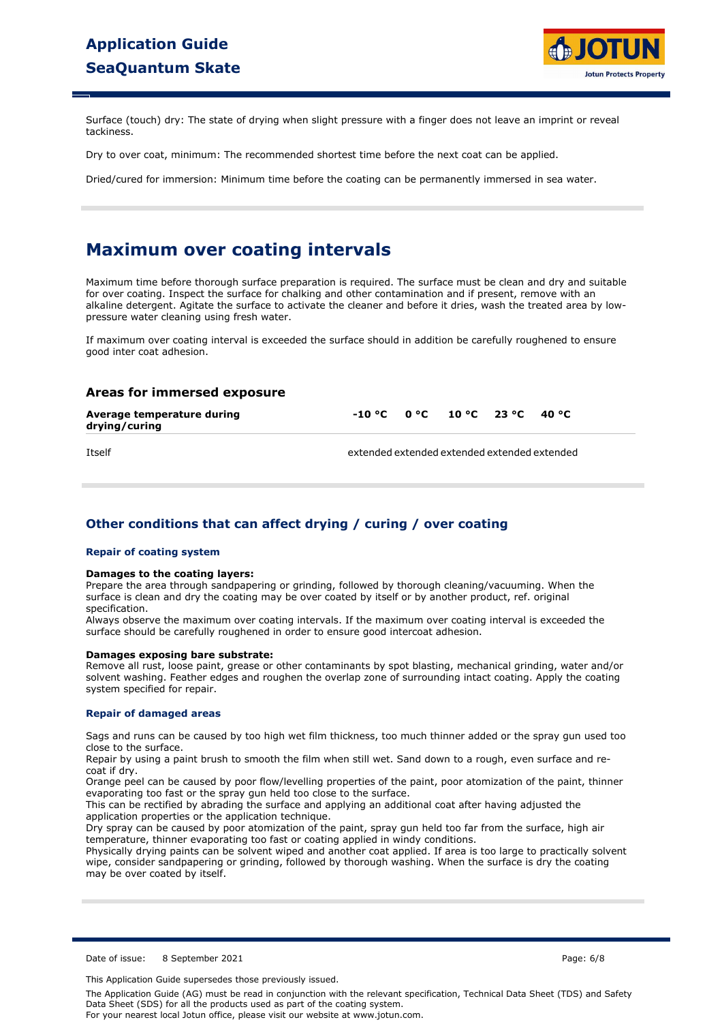

Surface (touch) dry: The state of drying when slight pressure with a finger does not leave an imprint or reveal tackiness.

Dry to over coat, minimum: The recommended shortest time before the next coat can be applied.

Dried/cured for immersion: Minimum time before the coating can be permanently immersed in sea water.

## **Maximum over coating intervals**

Maximum time before thorough surface preparation is required. The surface must be clean and dry and suitable for over coating. Inspect the surface for chalking and other contamination and if present, remove with an alkaline detergent. Agitate the surface to activate the cleaner and before it dries, wash the treated area by lowpressure water cleaning using fresh water.

If maximum over coating interval is exceeded the surface should in addition be carefully roughened to ensure good inter coat adhesion.

### **Areas for immersed exposure**

| Average temperature during<br>drying/curing | $-10\,^{\circ}$ C $-0\,^{\circ}$ C $10\,^{\circ}$ C $23\,^{\circ}$ C $40\,^{\circ}$ C                    |  |  |  |
|---------------------------------------------|----------------------------------------------------------------------------------------------------------|--|--|--|
| $T++-1C$                                    | والمتحالة ومستقلات والمتحالة ومستقلات والمتحالة ومستقلات والمتحالة ومستقلات والمتحالة والمتحالة ومستقلات |  |  |  |

Itself extended extended extended extended extended

## **Other conditions that can affect drying / curing / over coating**

#### **Repair of coating system**

#### **Damages to the coating layers:**

Prepare the area through sandpapering or grinding, followed by thorough cleaning/vacuuming. When the surface is clean and dry the coating may be over coated by itself or by another product, ref. original specification.

Always observe the maximum over coating intervals. If the maximum over coating interval is exceeded the surface should be carefully roughened in order to ensure good intercoat adhesion.

#### **Damages exposing bare substrate:**

Remove all rust, loose paint, grease or other contaminants by spot blasting, mechanical grinding, water and/or solvent washing. Feather edges and roughen the overlap zone of surrounding intact coating. Apply the coating system specified for repair.

#### **Repair of damaged areas**

Sags and runs can be caused by too high wet film thickness, too much thinner added or the spray gun used too close to the surface.

Repair by using a paint brush to smooth the film when still wet. Sand down to a rough, even surface and recoat if dry.

Orange peel can be caused by poor flow/levelling properties of the paint, poor atomization of the paint, thinner evaporating too fast or the spray gun held too close to the surface.

This can be rectified by abrading the surface and applying an additional coat after having adjusted the application properties or the application technique.

Dry spray can be caused by poor atomization of the paint, spray gun held too far from the surface, high air temperature, thinner evaporating too fast or coating applied in windy conditions.

Physically drying paints can be solvent wiped and another coat applied. If area is too large to practically solvent wipe, consider sandpapering or grinding, followed by thorough washing. When the surface is dry the coating may be over coated by itself.

Date of issue: 8 September 2021 **Page: 6/8** Page: 6/8

This Application Guide supersedes those previously issued.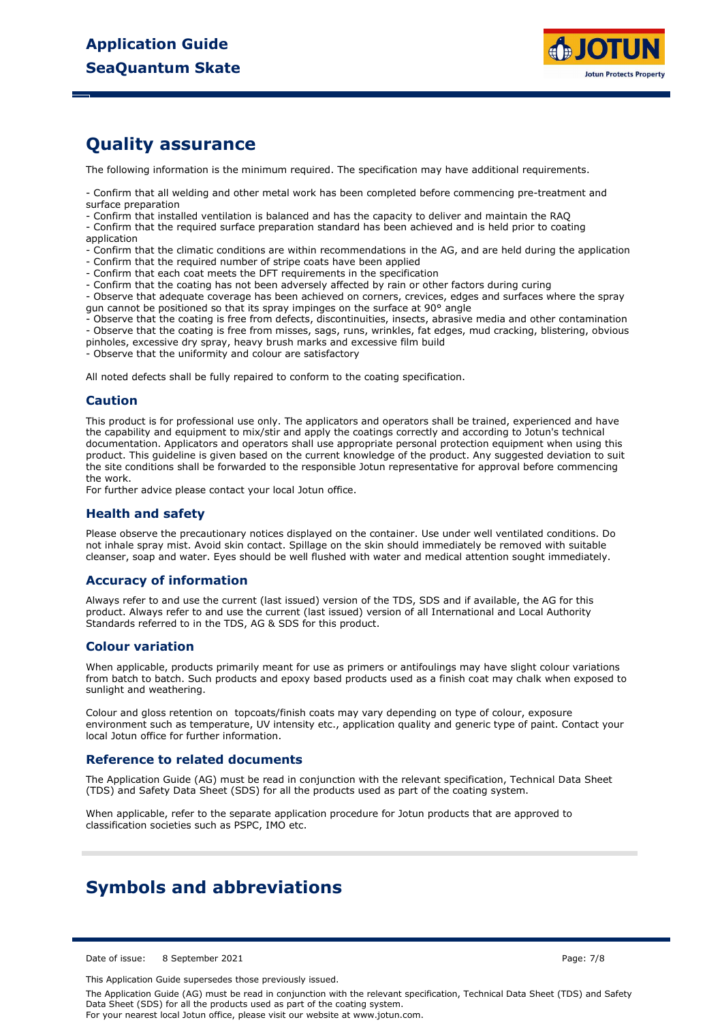

# **Quality assurance**

The following information is the minimum required. The specification may have additional requirements.

- Confirm that all welding and other metal work has been completed before commencing pre-treatment and surface preparation

- Confirm that installed ventilation is balanced and has the capacity to deliver and maintain the RAQ

- Confirm that the required surface preparation standard has been achieved and is held prior to coating application

- Confirm that the climatic conditions are within recommendations in the AG, and are held during the application

- Confirm that the required number of stripe coats have been applied
- Confirm that each coat meets the DFT requirements in the specification
- Confirm that the coating has not been adversely affected by rain or other factors during curing

- Observe that adequate coverage has been achieved on corners, crevices, edges and surfaces where the spray gun cannot be positioned so that its spray impinges on the surface at 90° angle

- Observe that the coating is free from defects, discontinuities, insects, abrasive media and other contamination

- Observe that the coating is free from misses, sags, runs, wrinkles, fat edges, mud cracking, blistering, obvious

pinholes, excessive dry spray, heavy brush marks and excessive film build

- Observe that the uniformity and colour are satisfactory

All noted defects shall be fully repaired to conform to the coating specification.

### **Caution**

This product is for professional use only. The applicators and operators shall be trained, experienced and have the capability and equipment to mix/stir and apply the coatings correctly and according to Jotun's technical documentation. Applicators and operators shall use appropriate personal protection equipment when using this product. This guideline is given based on the current knowledge of the product. Any suggested deviation to suit the site conditions shall be forwarded to the responsible Jotun representative for approval before commencing the work.

For further advice please contact your local Jotun office.

### **Health and safety**

Please observe the precautionary notices displayed on the container. Use under well ventilated conditions. Do not inhale spray mist. Avoid skin contact. Spillage on the skin should immediately be removed with suitable cleanser, soap and water. Eyes should be well flushed with water and medical attention sought immediately.

### **Accuracy of information**

Always refer to and use the current (last issued) version of the TDS, SDS and if available, the AG for this product. Always refer to and use the current (last issued) version of all International and Local Authority Standards referred to in the TDS, AG & SDS for this product.

### **Colour variation**

When applicable, products primarily meant for use as primers or antifoulings may have slight colour variations from batch to batch. Such products and epoxy based products used as a finish coat may chalk when exposed to sunlight and weathering.

Colour and gloss retention on topcoats/finish coats may vary depending on type of colour, exposure environment such as temperature, UV intensity etc., application quality and generic type of paint. Contact your local Jotun office for further information.

### **Reference to related documents**

The Application Guide (AG) must be read in conjunction with the relevant specification, Technical Data Sheet (TDS) and Safety Data Sheet (SDS) for all the products used as part of the coating system.

When applicable, refer to the separate application procedure for Jotun products that are approved to classification societies such as PSPC, IMO etc.

## **Symbols and abbreviations**

Date of issue: 8 September 2021 **Page: 7/8** Page: 7/8

This Application Guide supersedes those previously issued.